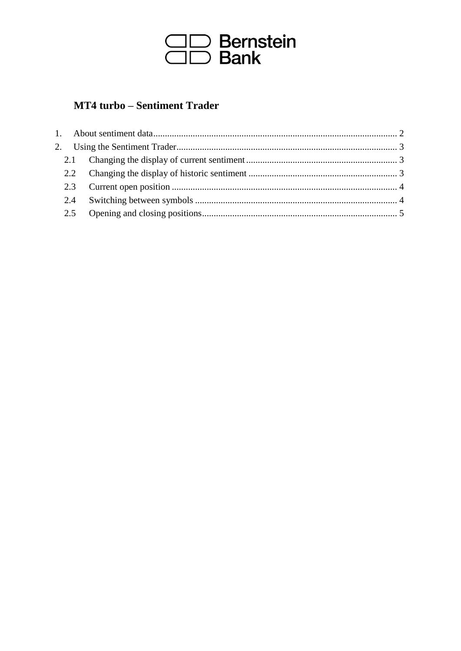

# **MT4 turbo - Sentiment Trader**

|  | 2.1 |  |
|--|-----|--|
|  |     |  |
|  |     |  |
|  | 2.4 |  |
|  |     |  |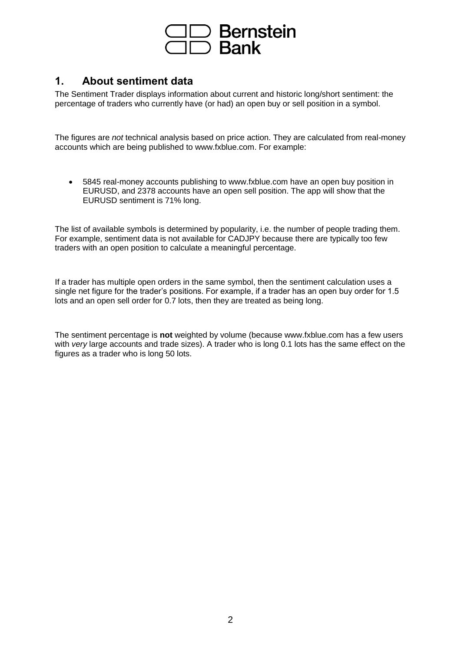

## **1. About sentiment data**

The Sentiment Trader displays information about current and historic long/short sentiment: the percentage of traders who currently have (or had) an open buy or sell position in a symbol.

The figures are *not* technical analysis based on price action. They are calculated from real-money accounts which are being published to www.fxblue.com. For example:

• 5845 real-money accounts publishing to www.fxblue.com have an open buy position in EURUSD, and 2378 accounts have an open sell position. The app will show that the EURUSD sentiment is 71% long.

The list of available symbols is determined by popularity, i.e. the number of people trading them. For example, sentiment data is not available for CADJPY because there are typically too few traders with an open position to calculate a meaningful percentage.

If a trader has multiple open orders in the same symbol, then the sentiment calculation uses a single net figure for the trader's positions. For example, if a trader has an open buy order for 1.5 lots and an open sell order for 0.7 lots, then they are treated as being long.

The sentiment percentage is **not** weighted by volume (because www.fxblue.com has a few users with *very* large accounts and trade sizes). A trader who is long 0.1 lots has the same effect on the figures as a trader who is long 50 lots.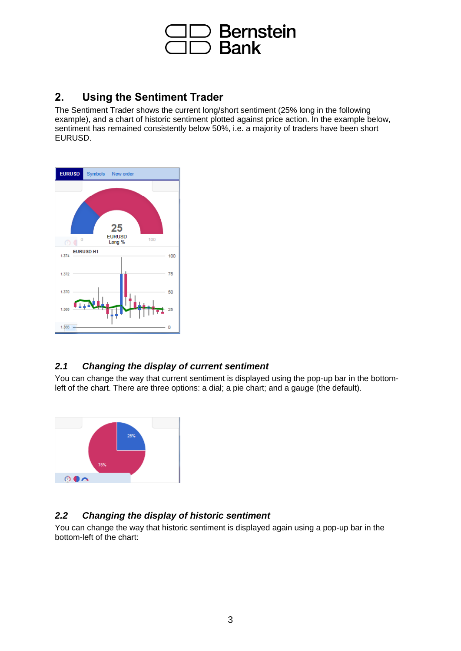

## **2. Using the Sentiment Trader**

The Sentiment Trader shows the current long/short sentiment (25% long in the following example), and a chart of historic sentiment plotted against price action. In the example below, sentiment has remained consistently below 50%, i.e. a majority of traders have been short EURUSD.



### *2.1 Changing the display of current sentiment*

You can change the way that current sentiment is displayed using the pop-up bar in the bottomleft of the chart. There are three options: a dial; a pie chart; and a gauge (the default).



### *2.2 Changing the display of historic sentiment*

You can change the way that historic sentiment is displayed again using a pop-up bar in the bottom-left of the chart: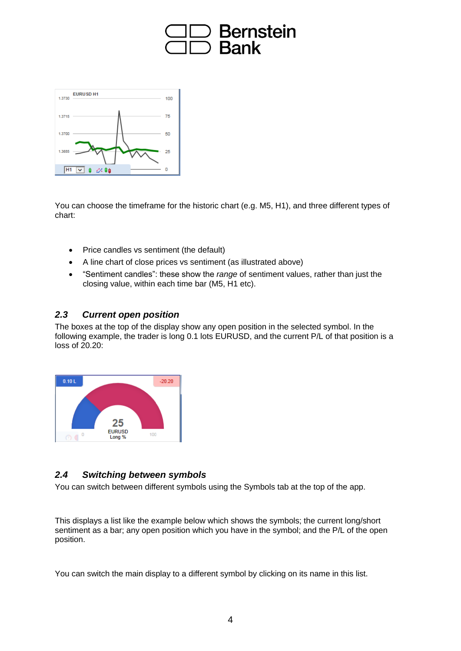



You can choose the timeframe for the historic chart (e.g. M5, H1), and three different types of chart:

- Price candles vs sentiment (the default)
- A line chart of close prices vs sentiment (as illustrated above)
- "Sentiment candles": these show the *range* of sentiment values, rather than just the closing value, within each time bar (M5, H1 etc).

#### *2.3 Current open position*

The boxes at the top of the display show any open position in the selected symbol. In the following example, the trader is long 0.1 lots EURUSD, and the current P/L of that position is a  $\cos$  of  $20.20$ 



### *2.4 Switching between symbols*

You can switch between different symbols using the Symbols tab at the top of the app.

This displays a list like the example below which shows the symbols; the current long/short sentiment as a bar; any open position which you have in the symbol; and the P/L of the open position.

You can switch the main display to a different symbol by clicking on its name in this list.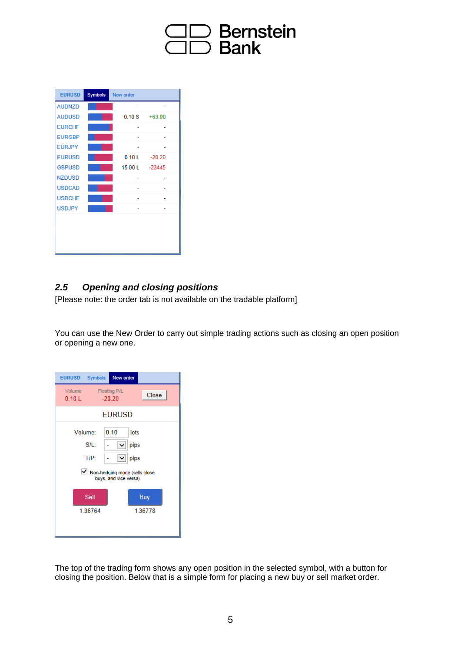

| <b>EURUSD</b> | <b>Symbols</b> | New order |                 |  |
|---------------|----------------|-----------|-----------------|--|
| <b>AUDNZD</b> |                |           |                 |  |
| <b>AUDUSD</b> |                | 0.10S     | $+63.90$        |  |
| <b>EURCHF</b> |                |           |                 |  |
| <b>EURGBP</b> |                |           |                 |  |
| <b>EURJPY</b> |                |           |                 |  |
| <b>EURUSD</b> |                |           | $0.10 L -20.20$ |  |
| <b>GBPUSD</b> |                |           | 15.00 L -23445  |  |
| <b>NZDUSD</b> |                |           |                 |  |
| <b>USDCAD</b> |                |           |                 |  |
| <b>USDCHF</b> |                |           |                 |  |
| <b>USDJPY</b> |                |           |                 |  |
|               |                |           |                 |  |
|               |                |           |                 |  |
|               |                |           |                 |  |
|               |                |           |                 |  |

### *2.5 Opening and closing positions*

[Please note: the order tab is not available on the tradable platform]

You can use the New Order to carry out simple trading actions such as closing an open position or opening a new one.

| <b>Symbols</b><br><b>EURUSD</b>                          | <b>New order</b>                         |  |  |  |  |  |
|----------------------------------------------------------|------------------------------------------|--|--|--|--|--|
| Volume<br>0.10L                                          | <b>Floating P/L</b><br>Close<br>$-20.20$ |  |  |  |  |  |
| <b>EURUSD</b>                                            |                                          |  |  |  |  |  |
| Volume:                                                  | 0.10<br>lots                             |  |  |  |  |  |
| $S/L$ :                                                  | pips<br>v                                |  |  |  |  |  |
| $T/P$ :                                                  | pips<br>v                                |  |  |  |  |  |
| ■ Non-hedging mode (sells close<br>buys, and vice versa) |                                          |  |  |  |  |  |
| Sell                                                     | Buy                                      |  |  |  |  |  |
| 1.36764                                                  | 1.36778                                  |  |  |  |  |  |
|                                                          |                                          |  |  |  |  |  |

The top of the trading form shows any open position in the selected symbol, with a button for closing the position. Below that is a simple form for placing a new buy or sell market order.